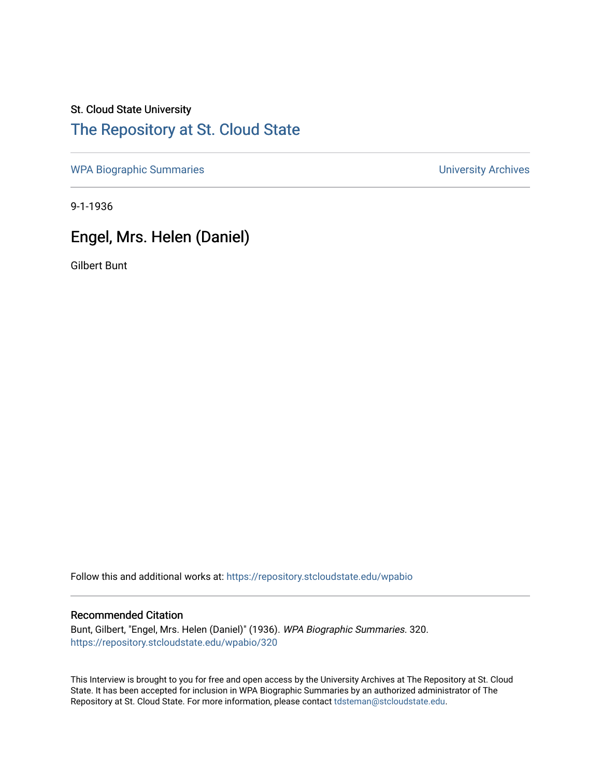## St. Cloud State University [The Repository at St. Cloud State](https://repository.stcloudstate.edu/)

[WPA Biographic Summaries](https://repository.stcloudstate.edu/wpabio) **WPA Biographic Summaries University Archives** 

9-1-1936

# Engel, Mrs. Helen (Daniel)

Gilbert Bunt

Follow this and additional works at: [https://repository.stcloudstate.edu/wpabio](https://repository.stcloudstate.edu/wpabio?utm_source=repository.stcloudstate.edu%2Fwpabio%2F320&utm_medium=PDF&utm_campaign=PDFCoverPages) 

### Recommended Citation

Bunt, Gilbert, "Engel, Mrs. Helen (Daniel)" (1936). WPA Biographic Summaries. 320. [https://repository.stcloudstate.edu/wpabio/320](https://repository.stcloudstate.edu/wpabio/320?utm_source=repository.stcloudstate.edu%2Fwpabio%2F320&utm_medium=PDF&utm_campaign=PDFCoverPages) 

This Interview is brought to you for free and open access by the University Archives at The Repository at St. Cloud State. It has been accepted for inclusion in WPA Biographic Summaries by an authorized administrator of The Repository at St. Cloud State. For more information, please contact [tdsteman@stcloudstate.edu.](mailto:tdsteman@stcloudstate.edu)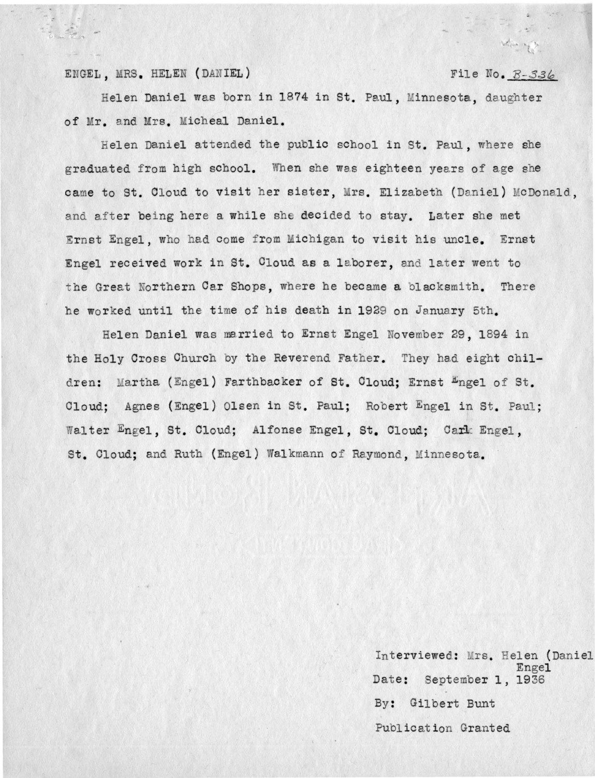#### ENGEL, MRS. HELEN (DANIEL) File No.  $B-336$

Helen Daniel was born in 1874 in St. Paul, Minnesota, daughter of Mr. and Mrs. Micheal Daniel.

Helen Daniel attended the public school in St. Paul, where she graduated from high school. When she was eighteen years of age she came to St. Cloud to visit her sister, Mrs. Elizabeth (Daniel) McDonald, and after being here a while she decided to stay. Later she met Ernst Engel, who had come from Michigan to visit his uncle. Ernst Engel received work in St. Cloud as a laborer, and later went to the Great Northern Car Shops, where he became a blacksmith. There he worked until the time of his death in 1929 on January 5th.

Helen Daniel was married to Ernst Engel fovember 29 , 1894 in the Holy Cross Church by the Reverend Father. They had eight children: Martha (Engel) Farthbacker of St. Cloud; Ernst  $E_{\text{ngel of St.}}$ Cloud: Agnes (Engel) Olsen in St. Paul; Robert Engel in St. Paul; Walter Engel, St. Cloud; Alfonse Engel, St. Cloud; Cark Engel, St. Cloud; and Ruth (Engel) Walkmann of Raymond, Minnesota.

> Interviewed: Mrs. Helen (Daniel Engel Date: September 1, 1936 By : Gilbert Bunt Publication Granted